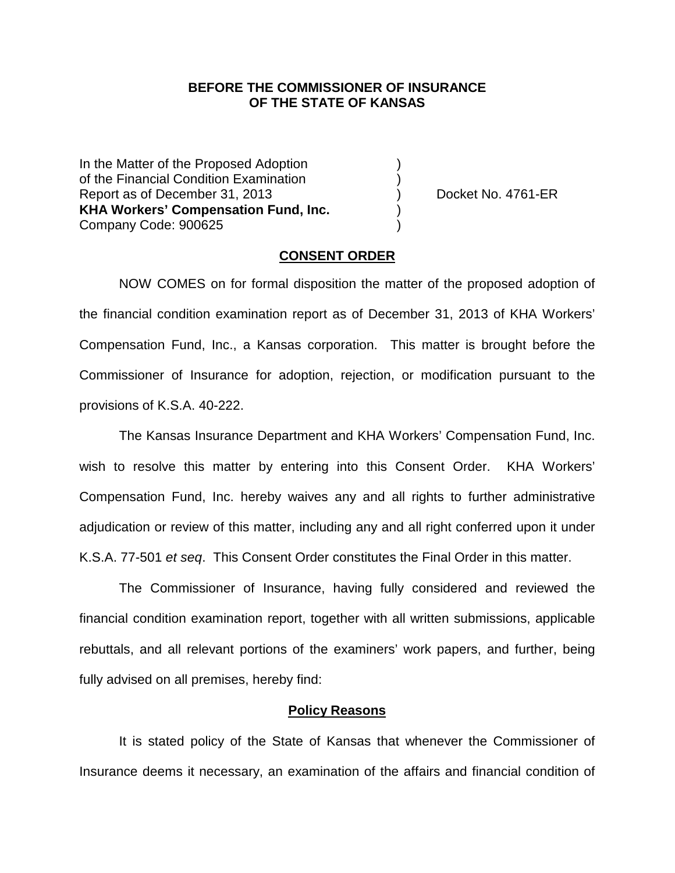## **BEFORE THE COMMISSIONER OF INSURANCE OF THE STATE OF KANSAS**

In the Matter of the Proposed Adoption of the Financial Condition Examination ) Report as of December 31, 2013 ) Docket No. 4761-ER **KHA Workers' Compensation Fund, Inc.** ) Company Code: 900625 )

#### **CONSENT ORDER**

NOW COMES on for formal disposition the matter of the proposed adoption of the financial condition examination report as of December 31, 2013 of KHA Workers' Compensation Fund, Inc., a Kansas corporation. This matter is brought before the Commissioner of Insurance for adoption, rejection, or modification pursuant to the provisions of K.S.A. 40-222.

The Kansas Insurance Department and KHA Workers' Compensation Fund, Inc. wish to resolve this matter by entering into this Consent Order. KHA Workers' Compensation Fund, Inc. hereby waives any and all rights to further administrative adjudication or review of this matter, including any and all right conferred upon it under K.S.A. 77-501 *et seq*. This Consent Order constitutes the Final Order in this matter.

The Commissioner of Insurance, having fully considered and reviewed the financial condition examination report, together with all written submissions, applicable rebuttals, and all relevant portions of the examiners' work papers, and further, being fully advised on all premises, hereby find:

### **Policy Reasons**

It is stated policy of the State of Kansas that whenever the Commissioner of Insurance deems it necessary, an examination of the affairs and financial condition of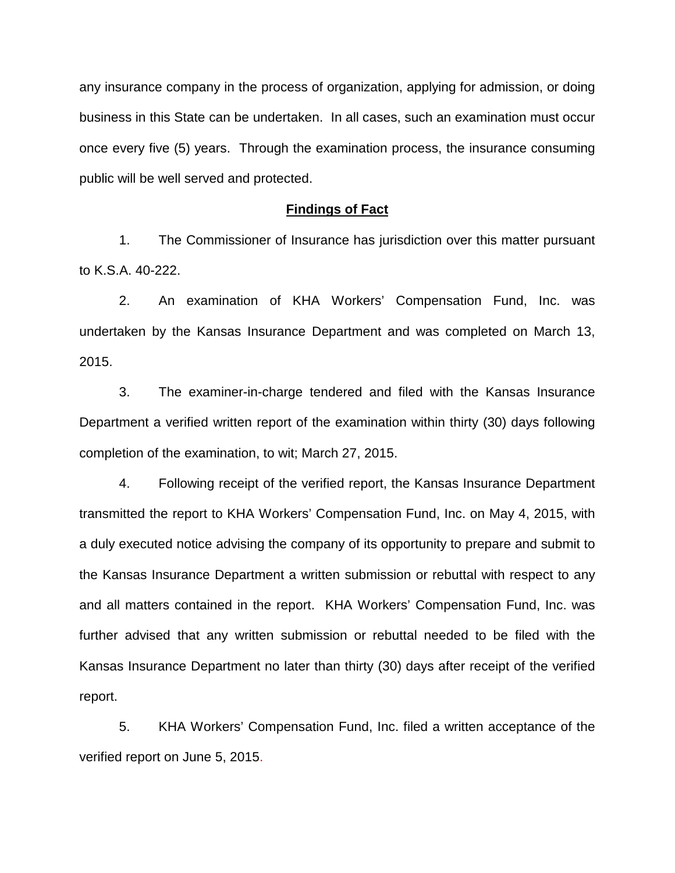any insurance company in the process of organization, applying for admission, or doing business in this State can be undertaken. In all cases, such an examination must occur once every five (5) years. Through the examination process, the insurance consuming public will be well served and protected.

#### **Findings of Fact**

1. The Commissioner of Insurance has jurisdiction over this matter pursuant to K.S.A. 40-222.

2. An examination of KHA Workers' Compensation Fund, Inc. was undertaken by the Kansas Insurance Department and was completed on March 13, 2015.

3. The examiner-in-charge tendered and filed with the Kansas Insurance Department a verified written report of the examination within thirty (30) days following completion of the examination, to wit; March 27, 2015.

4. Following receipt of the verified report, the Kansas Insurance Department transmitted the report to KHA Workers' Compensation Fund, Inc. on May 4, 2015, with a duly executed notice advising the company of its opportunity to prepare and submit to the Kansas Insurance Department a written submission or rebuttal with respect to any and all matters contained in the report. KHA Workers' Compensation Fund, Inc. was further advised that any written submission or rebuttal needed to be filed with the Kansas Insurance Department no later than thirty (30) days after receipt of the verified report.

5. KHA Workers' Compensation Fund, Inc. filed a written acceptance of the verified report on June 5, 2015.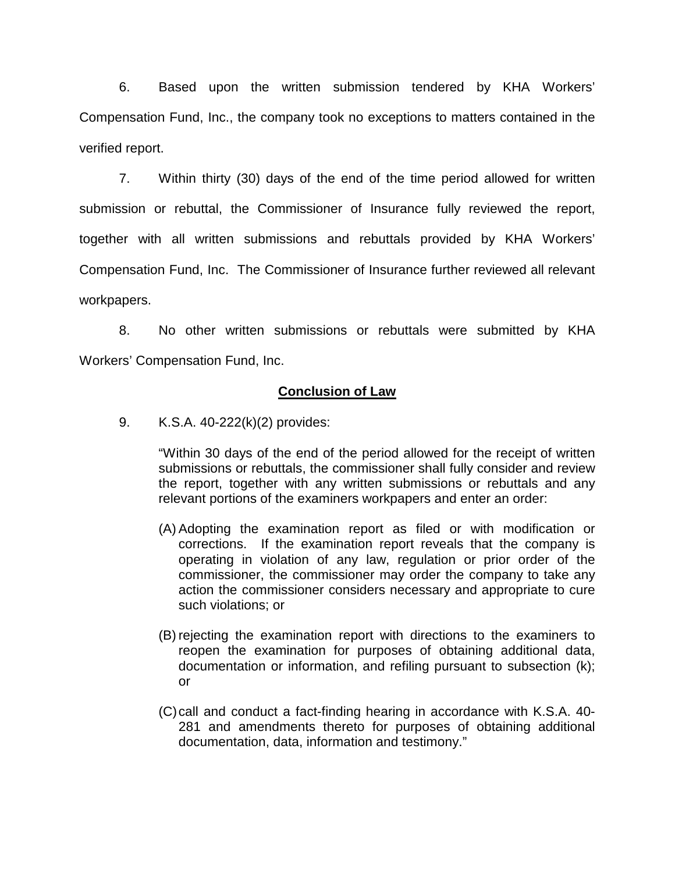6. Based upon the written submission tendered by KHA Workers' Compensation Fund, Inc., the company took no exceptions to matters contained in the verified report.

7. Within thirty (30) days of the end of the time period allowed for written submission or rebuttal, the Commissioner of Insurance fully reviewed the report, together with all written submissions and rebuttals provided by KHA Workers' Compensation Fund, Inc. The Commissioner of Insurance further reviewed all relevant workpapers.

8. No other written submissions or rebuttals were submitted by KHA Workers' Compensation Fund, Inc.

## **Conclusion of Law**

9. K.S.A. 40-222(k)(2) provides:

"Within 30 days of the end of the period allowed for the receipt of written submissions or rebuttals, the commissioner shall fully consider and review the report, together with any written submissions or rebuttals and any relevant portions of the examiners workpapers and enter an order:

- (A) Adopting the examination report as filed or with modification or corrections. If the examination report reveals that the company is operating in violation of any law, regulation or prior order of the commissioner, the commissioner may order the company to take any action the commissioner considers necessary and appropriate to cure such violations; or
- (B) rejecting the examination report with directions to the examiners to reopen the examination for purposes of obtaining additional data, documentation or information, and refiling pursuant to subsection (k); or
- (C)call and conduct a fact-finding hearing in accordance with K.S.A. 40- 281 and amendments thereto for purposes of obtaining additional documentation, data, information and testimony."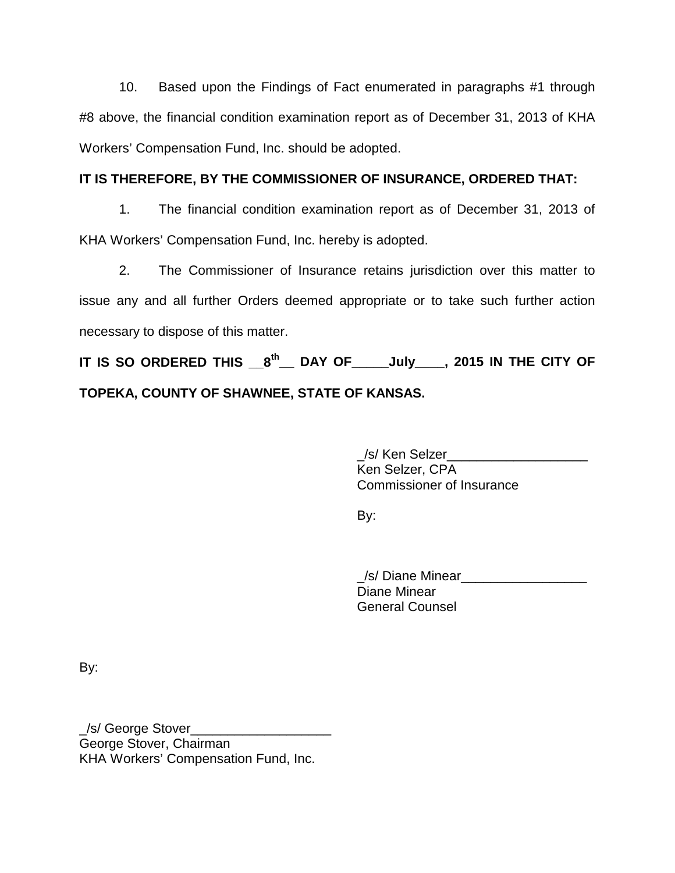10. Based upon the Findings of Fact enumerated in paragraphs #1 through #8 above, the financial condition examination report as of December 31, 2013 of KHA Workers' Compensation Fund, Inc. should be adopted.

# **IT IS THEREFORE, BY THE COMMISSIONER OF INSURANCE, ORDERED THAT:**

1. The financial condition examination report as of December 31, 2013 of KHA Workers' Compensation Fund, Inc. hereby is adopted.

2. The Commissioner of Insurance retains jurisdiction over this matter to issue any and all further Orders deemed appropriate or to take such further action necessary to dispose of this matter.

**IT IS SO ORDERED THIS \_\_8th\_\_ DAY OF\_\_\_\_\_July\_\_\_\_, 2015 IN THE CITY OF TOPEKA, COUNTY OF SHAWNEE, STATE OF KANSAS.**

> \_/s/ Ken Selzer\_\_\_\_\_\_\_\_\_\_\_\_\_\_\_\_\_\_\_ Ken Selzer, CPA Commissioner of Insurance

By:

\_/s/ Diane Minear\_\_\_\_\_\_\_\_\_\_\_\_\_\_\_\_\_ Diane Minear General Counsel

By:

\_/s/ George Stover\_\_\_\_\_\_\_\_\_\_\_\_\_\_\_\_\_\_\_ George Stover, Chairman KHA Workers' Compensation Fund, Inc.